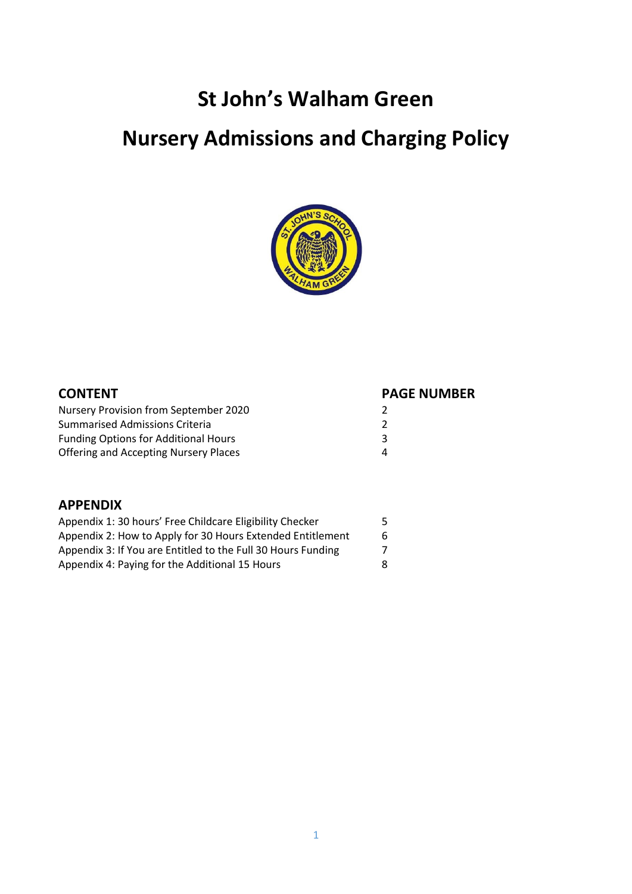## **St John's Walham Green**

# **Nursery Admissions and Charging Policy**



| <b>PAGE NUMBER</b> |
|--------------------|
|                    |
|                    |
| ₹                  |
| Λ                  |
|                    |

#### **APPENDIX**

| Appendix 1: 30 hours' Free Childcare Eligibility Checker     | 5. |
|--------------------------------------------------------------|----|
| Appendix 2: How to Apply for 30 Hours Extended Entitlement   | 6  |
| Appendix 3: If You are Entitled to the Full 30 Hours Funding |    |
| Appendix 4: Paying for the Additional 15 Hours               | 8. |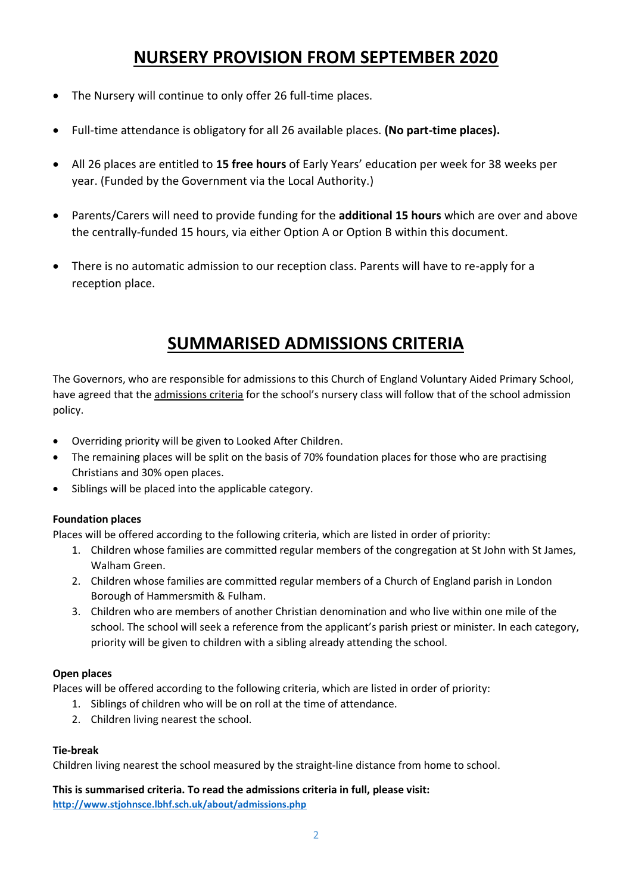## **NURSERY PROVISION FROM SEPTEMBER 2020**

- The Nursery will continue to only offer 26 full-time places.
- Full-time attendance is obligatory for all 26 available places. **(No part-time places).**
- All 26 places are entitled to **15 free hours** of Early Years' education per week for 38 weeks per year. (Funded by the Government via the Local Authority.)
- Parents/Carers will need to provide funding for the **additional 15 hours** which are over and above the centrally-funded 15 hours, via either Option A or Option B within this document.
- There is no automatic admission to our reception class. Parents will have to re-apply for a reception place.

## **SUMMARISED ADMISSIONS CRITERIA**

The Governors, who are responsible for admissions to this Church of England Voluntary Aided Primary School, have agreed that the admissions criteria for the school's nursery class will follow that of the school admission policy.

- Overriding priority will be given to Looked After Children.
- The remaining places will be split on the basis of 70% foundation places for those who are practising Christians and 30% open places.
- Siblings will be placed into the applicable category.

#### **Foundation places**

Places will be offered according to the following criteria, which are listed in order of priority:

- 1. Children whose families are committed regular members of the congregation at St John with St James, Walham Green.
- 2. Children whose families are committed regular members of a Church of England parish in London Borough of Hammersmith & Fulham.
- 3. Children who are members of another Christian denomination and who live within one mile of the school. The school will seek a reference from the applicant's parish priest or minister. In each category, priority will be given to children with a sibling already attending the school.

#### **Open places**

Places will be offered according to the following criteria, which are listed in order of priority:

- 1. Siblings of children who will be on roll at the time of attendance.
- 2. Children living nearest the school.

#### **Tie-break**

Children living nearest the school measured by the straight-line distance from home to school.

**This is summarised criteria. To read the admissions criteria in full, please visit: <http://www.stjohnsce.lbhf.sch.uk/about/admissions.php>**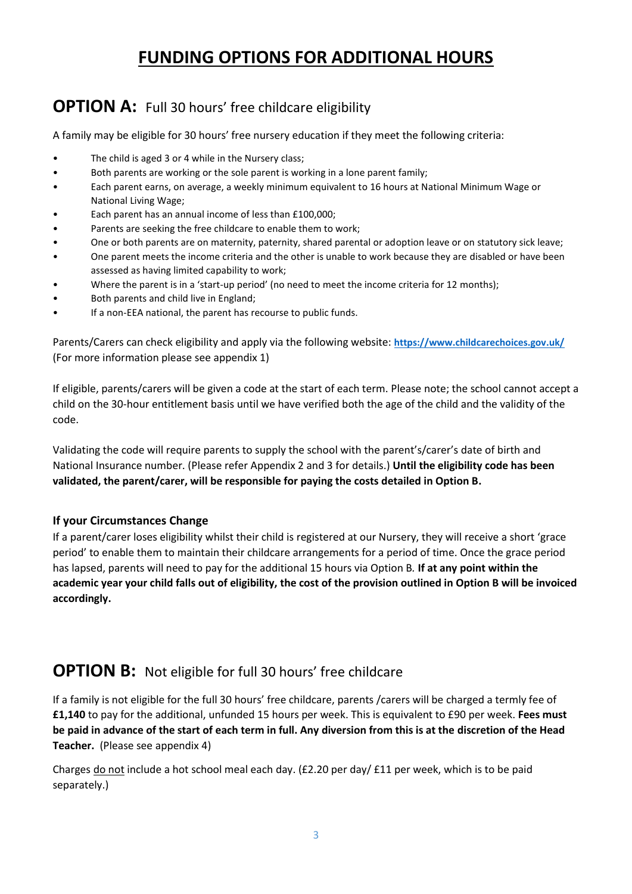## **FUNDING OPTIONS FOR ADDITIONAL HOURS**

## **OPTION A:** Full 30 hours' free childcare eligibility

A family may be eligible for 30 hours' free nursery education if they meet the following criteria:

- The child is aged 3 or 4 while in the Nursery class;
- Both parents are working or the sole parent is working in a lone parent family;
- Each parent earns, on average, a weekly minimum equivalent to 16 hours at National Minimum Wage or National Living Wage;
- Each parent has an annual income of less than £100,000;
- Parents are seeking the free childcare to enable them to work;
- One or both parents are on maternity, paternity, shared parental or adoption leave or on statutory sick leave;
- One parent meets the income criteria and the other is unable to work because they are disabled or have been assessed as having limited capability to work;
- Where the parent is in a 'start-up period' (no need to meet the income criteria for 12 months);
- Both parents and child live in England;
- If a non-EEA national, the parent has recourse to public funds.

Parents/Carers can check eligibility and apply via the following website: **<https://www.childcarechoices.gov.uk/>** (For more information please see appendix 1)

If eligible, parents/carers will be given a code at the start of each term. Please note; the school cannot accept a child on the 30-hour entitlement basis until we have verified both the age of the child and the validity of the code.

Validating the code will require parents to supply the school with the parent's/carer's date of birth and National Insurance number. (Please refer Appendix 2 and 3 for details.) **Until the eligibility code has been validated, the parent/carer, will be responsible for paying the costs detailed in Option B.**

#### **If your Circumstances Change**

If a parent/carer loses eligibility whilst their child is registered at our Nursery, they will receive a short 'grace period' to enable them to maintain their childcare arrangements for a period of time. Once the grace period has lapsed, parents will need to pay for the additional 15 hours via Option B*.* **If at any point within the academic year your child falls out of eligibility, the cost of the provision outlined in Option B will be invoiced accordingly.**

### **OPTION B:** Not eligible for full 30 hours' free childcare

If a family is not eligible for the full 30 hours' free childcare, parents /carers will be charged a termly fee of **£1,140** to pay for the additional, unfunded 15 hours per week. This is equivalent to £90 per week. **Fees must be paid in advance of the start of each term in full. Any diversion from this is at the discretion of the Head Teacher.** (Please see appendix 4)

Charges do not include a hot school meal each day. (£2.20 per day/ £11 per week, which is to be paid separately.)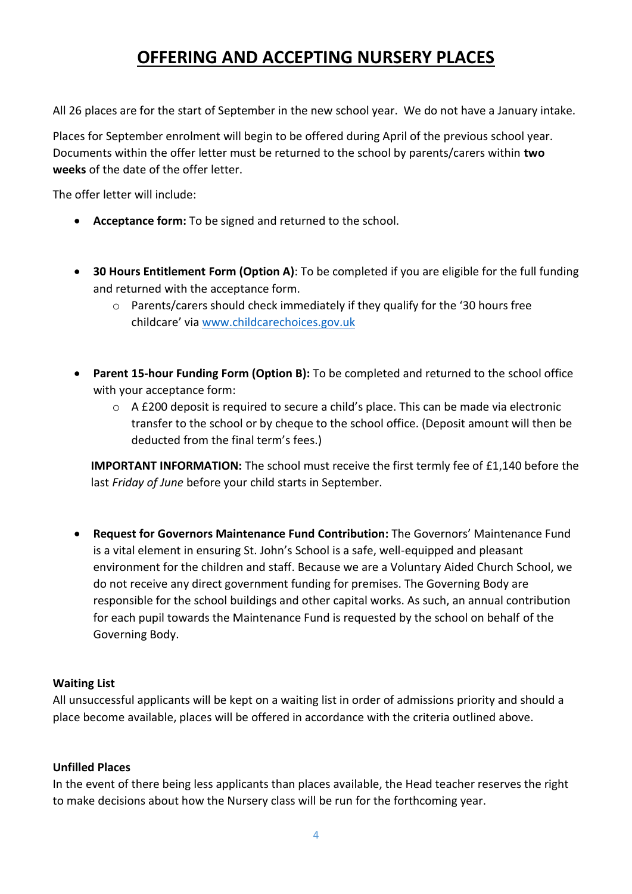## **OFFERING AND ACCEPTING NURSERY PLACES**

All 26 places are for the start of September in the new school year. We do not have a January intake.

Places for September enrolment will begin to be offered during April of the previous school year. Documents within the offer letter must be returned to the school by parents/carers within **two weeks** of the date of the offer letter.

The offer letter will include:

- **Acceptance form:** To be signed and returned to the school.
- **30 Hours Entitlement Form (Option A)**: To be completed if you are eligible for the full funding and returned with the acceptance form.
	- $\circ$  Parents/carers should check immediately if they qualify for the '30 hours free childcare' via [www.childcarechoices.gov.uk](http://www.childcarechoices.gov.uk/)
- **Parent 15-hour Funding Form (Option B):** To be completed and returned to the school office with your acceptance form:
	- o A £200 deposit is required to secure a child's place. This can be made via electronic transfer to the school or by cheque to the school office. (Deposit amount will then be deducted from the final term's fees.)

**IMPORTANT INFORMATION:** The school must receive the first termly fee of £1,140 before the last *Friday of June* before your child starts in September.

 **Request for Governors Maintenance Fund Contribution:** The Governors' Maintenance Fund is a vital element in ensuring St. John's School is a safe, well-equipped and pleasant environment for the children and staff. Because we are a Voluntary Aided Church School, we do not receive any direct government funding for premises. The Governing Body are responsible for the school buildings and other capital works. As such, an annual contribution for each pupil towards the Maintenance Fund is requested by the school on behalf of the Governing Body.

#### **Waiting List**

All unsuccessful applicants will be kept on a waiting list in order of admissions priority and should a place become available, places will be offered in accordance with the criteria outlined above.

#### **Unfilled Places**

In the event of there being less applicants than places available, the Head teacher reserves the right to make decisions about how the Nursery class will be run for the forthcoming year.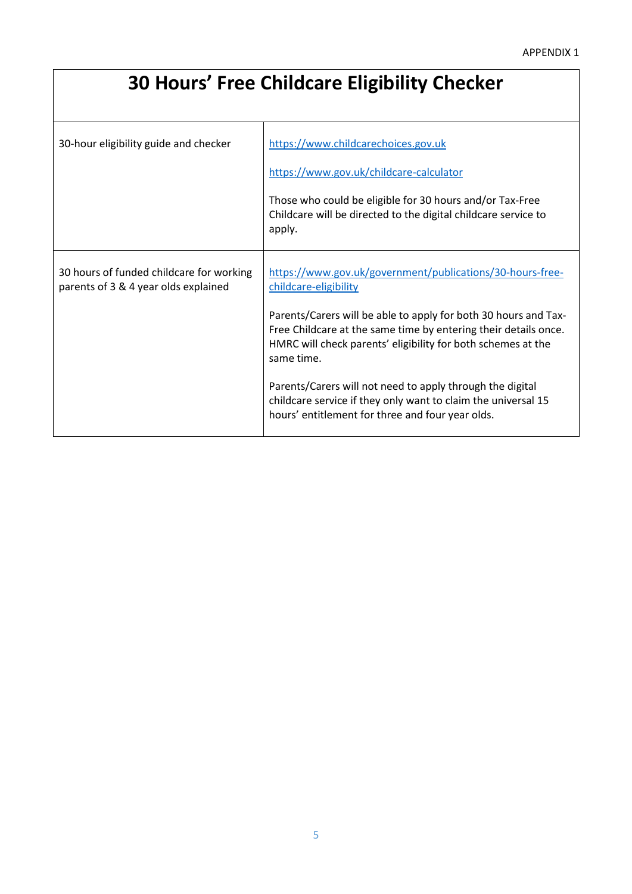# **30 Hours' Free Childcare Eligibility Checker**

| 30-hour eligibility guide and checker                                            | https://www.childcarechoices.gov.uk<br>https://www.gov.uk/childcare-calculator<br>Those who could be eligible for 30 hours and/or Tax-Free<br>Childcare will be directed to the digital childcare service to<br>apply.                                                                                                                                                                                                                                                                   |
|----------------------------------------------------------------------------------|------------------------------------------------------------------------------------------------------------------------------------------------------------------------------------------------------------------------------------------------------------------------------------------------------------------------------------------------------------------------------------------------------------------------------------------------------------------------------------------|
| 30 hours of funded childcare for working<br>parents of 3 & 4 year olds explained | https://www.gov.uk/government/publications/30-hours-free-<br>childcare-eligibility<br>Parents/Carers will be able to apply for both 30 hours and Tax-<br>Free Childcare at the same time by entering their details once.<br>HMRC will check parents' eligibility for both schemes at the<br>same time.<br>Parents/Carers will not need to apply through the digital<br>childcare service if they only want to claim the universal 15<br>hours' entitlement for three and four year olds. |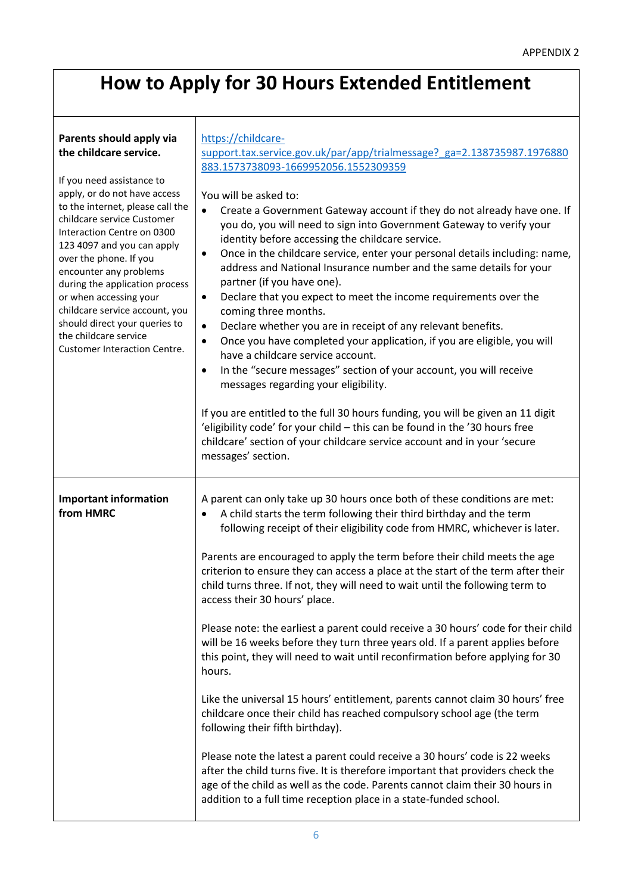## **How to Apply for 30 Hours Extended Entitlement**

#### **Parents should apply via the childcare service.** If you need assistance to apply, or do not have access to the internet, please call the childcare service Customer Interaction Centre on 0300 123 4097 and you can apply over the phone. If you encounter any problems during the application process or when accessing your childcare service account, you should direct your queries to the childcare service Customer Interaction Centre. [https://childcare](https://childcare-support.tax.service.gov.uk/par/app/trialmessage?_ga=2.138735987.1976880883.1573738093-1669952056.1552309359)[support.tax.service.gov.uk/par/app/trialmessage?\\_ga=2.138735987.1976880](https://childcare-support.tax.service.gov.uk/par/app/trialmessage?_ga=2.138735987.1976880883.1573738093-1669952056.1552309359) [883.1573738093-1669952056.1552309359](https://childcare-support.tax.service.gov.uk/par/app/trialmessage?_ga=2.138735987.1976880883.1573738093-1669952056.1552309359) You will be asked to: Create a Government Gateway account if they do not already have one. If you do, you will need to sign into Government Gateway to verify your identity before accessing the childcare service. Once in the childcare service, enter your personal details including: name, address and National Insurance number and the same details for your partner (if you have one). Declare that you expect to meet the income requirements over the coming three months. Declare whether you are in receipt of any relevant benefits. Once you have completed your application, if you are eligible, you will have a childcare service account. • In the "secure messages" section of your account, you will receive messages regarding your eligibility. If you are entitled to the full 30 hours funding, you will be given an 11 digit 'eligibility code' for your child – this can be found in the '30 hours free childcare' section of your childcare service account and in your 'secure messages' section. **Important information from HMRC** A parent can only take up 30 hours once both of these conditions are met: A child starts the term following their third birthday and the term following receipt of their eligibility code from HMRC, whichever is later. Parents are encouraged to apply the term before their child meets the age criterion to ensure they can access a place at the start of the term after their child turns three. If not, they will need to wait until the following term to access their 30 hours' place. Please note: the earliest a parent could receive a 30 hours' code for their child will be 16 weeks before they turn three years old. If a parent applies before this point, they will need to wait until reconfirmation before applying for 30 hours. Like the universal 15 hours' entitlement, parents cannot claim 30 hours' free childcare once their child has reached compulsory school age (the term following their fifth birthday).

Please note the latest a parent could receive a 30 hours' code is 22 weeks after the child turns five. It is therefore important that providers check the age of the child as well as the code. Parents cannot claim their 30 hours in addition to a full time reception place in a state-funded school.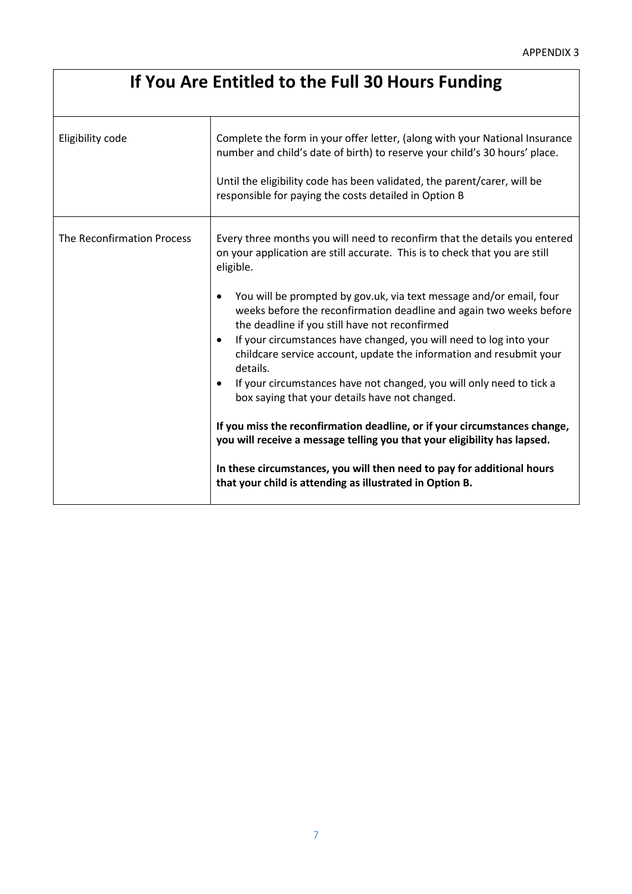# **If You Are Entitled to the Full 30 Hours Funding**

| Eligibility code           | Complete the form in your offer letter, (along with your National Insurance<br>number and child's date of birth) to reserve your child's 30 hours' place.<br>Until the eligibility code has been validated, the parent/carer, will be<br>responsible for paying the costs detailed in Option B                                                                                                                                                                                                                                                                                                                                                                                                                                                                                                                                                                                                                                                                                          |
|----------------------------|-----------------------------------------------------------------------------------------------------------------------------------------------------------------------------------------------------------------------------------------------------------------------------------------------------------------------------------------------------------------------------------------------------------------------------------------------------------------------------------------------------------------------------------------------------------------------------------------------------------------------------------------------------------------------------------------------------------------------------------------------------------------------------------------------------------------------------------------------------------------------------------------------------------------------------------------------------------------------------------------|
| The Reconfirmation Process | Every three months you will need to reconfirm that the details you entered<br>on your application are still accurate. This is to check that you are still<br>eligible.<br>You will be prompted by gov.uk, via text message and/or email, four<br>٠<br>weeks before the reconfirmation deadline and again two weeks before<br>the deadline if you still have not reconfirmed<br>If your circumstances have changed, you will need to log into your<br>$\bullet$<br>childcare service account, update the information and resubmit your<br>details.<br>If your circumstances have not changed, you will only need to tick a<br>$\bullet$<br>box saying that your details have not changed.<br>If you miss the reconfirmation deadline, or if your circumstances change,<br>you will receive a message telling you that your eligibility has lapsed.<br>In these circumstances, you will then need to pay for additional hours<br>that your child is attending as illustrated in Option B. |